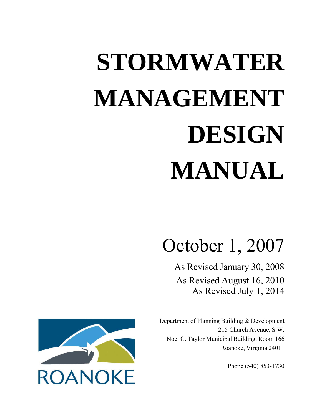# **STORMWATER MANAGEMENT DESIGN MANUAL**

# October 1, 2007

As Revised January 30, 2008 As Revised August 16, 2010 As Revised July 1, 2014

Department of Planning Building & Development 215 Church Avenue, S.W. Noel C. Taylor Municipal Building, Room 166 Roanoke, Virginia 24011

Phone (540) 853-1730

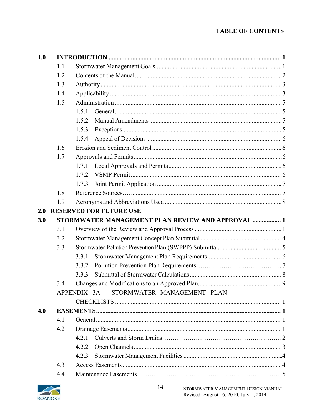| 1.0 |     |       |                                                   |  |
|-----|-----|-------|---------------------------------------------------|--|
|     | 1.1 |       |                                                   |  |
|     | 1.2 |       |                                                   |  |
|     | 1.3 |       |                                                   |  |
|     | 1.4 |       |                                                   |  |
|     | 1.5 |       |                                                   |  |
|     |     | 1.5.1 |                                                   |  |
|     |     | 1.5.2 |                                                   |  |
|     |     | 1.5.3 |                                                   |  |
|     |     | 1.5.4 |                                                   |  |
|     | 1.6 |       |                                                   |  |
|     | 1.7 |       |                                                   |  |
|     |     | 1.7.1 |                                                   |  |
|     |     | 1.7.2 |                                                   |  |
|     |     | 1.7.3 |                                                   |  |
|     | 1.8 |       |                                                   |  |
|     | 1.9 |       |                                                   |  |
| 2.0 |     |       | <b>RESERVED FOR FUTURE USE</b>                    |  |
| 3.0 |     |       | STORMWATER MANAGEMENT PLAN REVIEW AND APPROVAL  1 |  |
|     | 3.1 |       |                                                   |  |
|     | 3.2 |       |                                                   |  |
|     |     |       |                                                   |  |
|     | 3.3 |       |                                                   |  |
|     |     | 3.3.1 |                                                   |  |
|     |     | 3.3.2 |                                                   |  |
|     |     | 3.3.3 |                                                   |  |
|     | 3.4 |       |                                                   |  |
|     |     |       | APPENDIX 3A - STORMWATER MANAGEMENT PLAN          |  |
|     |     |       |                                                   |  |
| 4.0 |     |       |                                                   |  |
|     | 4.1 |       |                                                   |  |
|     | 4.2 |       |                                                   |  |
|     |     | 4.2.1 |                                                   |  |
|     |     | 4.2.2 |                                                   |  |
|     |     | 4.2.3 |                                                   |  |
|     | 4.3 |       |                                                   |  |

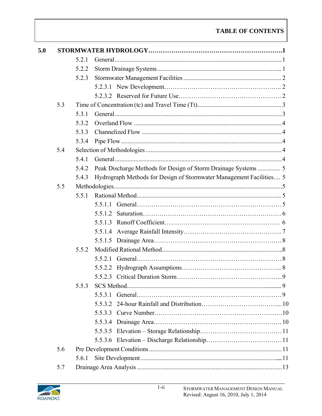| 5.0 |     |       |                                                                     |  |
|-----|-----|-------|---------------------------------------------------------------------|--|
|     |     | 5.2.1 |                                                                     |  |
|     |     | 5.2.2 |                                                                     |  |
|     |     | 5.2.3 |                                                                     |  |
|     |     |       |                                                                     |  |
|     |     |       |                                                                     |  |
|     | 5.3 |       |                                                                     |  |
|     |     | 5.3.1 |                                                                     |  |
|     |     | 5.3.2 |                                                                     |  |
|     |     | 5.3.3 |                                                                     |  |
|     |     | 5.3.4 |                                                                     |  |
|     | 5.4 |       |                                                                     |  |
|     |     | 5.4.1 |                                                                     |  |
|     |     | 5.4.2 |                                                                     |  |
|     |     | 5.4.3 | Hydrograph Methods for Design of Stormwater Management Facilities 5 |  |
|     | 5.5 |       |                                                                     |  |
|     |     | 5.5.1 |                                                                     |  |
|     |     |       |                                                                     |  |
|     |     |       |                                                                     |  |
|     |     |       |                                                                     |  |
|     |     |       |                                                                     |  |
|     |     |       |                                                                     |  |
|     |     | 5.5.2 |                                                                     |  |
|     |     |       |                                                                     |  |
|     |     |       |                                                                     |  |
|     |     |       |                                                                     |  |
|     |     | 5.5.3 |                                                                     |  |
|     |     |       | 5.5.3.1                                                             |  |
|     |     |       |                                                                     |  |
|     |     |       |                                                                     |  |
|     |     |       |                                                                     |  |
|     |     |       |                                                                     |  |
|     |     |       |                                                                     |  |
|     | 5.6 |       |                                                                     |  |
|     |     | 5.6.1 |                                                                     |  |
|     | 5.7 |       |                                                                     |  |

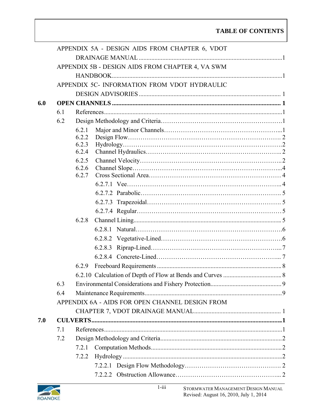|     |     | APPENDIX 5A - DESIGN AIDS FROM CHAPTER 6, VDOT   |
|-----|-----|--------------------------------------------------|
|     |     |                                                  |
|     |     | APPENDIX 5B - DESIGN AIDS FROM CHAPTER 4, VA SWM |
|     |     |                                                  |
|     |     | APPENDIX 5C- INFORMATION FROM VDOT HYDRAULIC     |
|     |     |                                                  |
| 6.0 |     |                                                  |
|     | 6.1 |                                                  |
|     | 6.2 |                                                  |
|     |     | 6.2.1                                            |
|     |     | 6.2.2                                            |
|     |     | 6.2.3<br>6.2.4                                   |
|     |     | 6.2.5                                            |
|     |     | 6.2.6                                            |
|     |     | 6.2.7                                            |
|     |     |                                                  |
|     |     |                                                  |
|     |     |                                                  |
|     |     |                                                  |
|     |     | 6.2.8                                            |
|     |     |                                                  |
|     |     |                                                  |
|     |     |                                                  |
|     |     |                                                  |
|     |     | 6.2.9                                            |
|     |     |                                                  |
|     | 6.3 |                                                  |
|     | 6.4 |                                                  |
|     |     | APPENDIX 6A - AIDS FOR OPEN CHANNEL DESIGN FROM  |
|     |     |                                                  |
| 7.0 |     |                                                  |
|     | 7.1 |                                                  |
|     | 7.2 |                                                  |
|     |     | 7.2.1                                            |
|     |     | 7.2.2                                            |
|     |     |                                                  |
|     |     |                                                  |

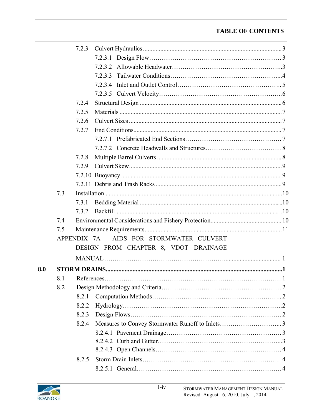|     |     | 7.2.3                                     |  |
|-----|-----|-------------------------------------------|--|
|     |     |                                           |  |
|     |     |                                           |  |
|     |     |                                           |  |
|     |     |                                           |  |
|     |     |                                           |  |
|     |     | 7.2.4                                     |  |
|     |     | 7.2.5                                     |  |
|     |     | 7.2.6                                     |  |
|     |     | 7.2.7                                     |  |
|     |     |                                           |  |
|     |     |                                           |  |
|     |     | 7.2.8                                     |  |
|     |     | 7.2.9                                     |  |
|     |     |                                           |  |
|     |     |                                           |  |
|     | 7.3 |                                           |  |
|     |     | 7.3.1                                     |  |
|     |     | 7.3.2                                     |  |
|     | 7.4 |                                           |  |
|     | 7.5 |                                           |  |
|     |     | APPENDIX 7A - AIDS FOR STORMWATER CULVERT |  |
|     |     | DESIGN FROM CHAPTER 8, VDOT DRAINAGE      |  |
|     |     |                                           |  |
| 8.0 |     |                                           |  |
|     |     |                                           |  |
|     | 8.2 |                                           |  |
|     |     | 8.2.1                                     |  |
|     |     | 8.2.2                                     |  |
|     |     | 8.2.3                                     |  |
|     |     | 8.2.4                                     |  |
|     |     |                                           |  |
|     |     |                                           |  |
|     |     |                                           |  |
|     |     | 8.2.5                                     |  |
|     |     |                                           |  |

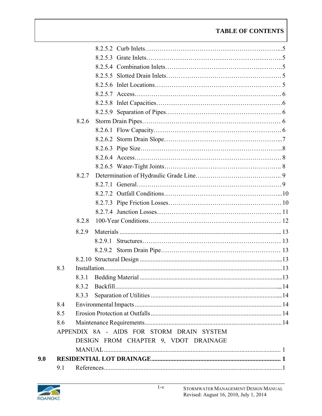|     |     | 8.2.6 |                                           |  |
|-----|-----|-------|-------------------------------------------|--|
|     |     |       |                                           |  |
|     |     |       |                                           |  |
|     |     |       |                                           |  |
|     |     |       |                                           |  |
|     |     |       |                                           |  |
|     |     | 8.2.7 |                                           |  |
|     |     |       |                                           |  |
|     |     |       |                                           |  |
|     |     |       |                                           |  |
|     |     |       |                                           |  |
|     |     | 8.2.8 |                                           |  |
|     |     | 8.2.9 |                                           |  |
|     |     |       |                                           |  |
|     |     |       |                                           |  |
|     |     |       |                                           |  |
|     | 8.3 |       |                                           |  |
|     |     |       |                                           |  |
|     |     | 832   |                                           |  |
|     |     | 8.3.3 |                                           |  |
|     | 8.4 |       |                                           |  |
|     | 8.5 |       |                                           |  |
|     | 8.6 |       |                                           |  |
|     |     |       | APPENDIX 8A - AIDS FOR STORM DRAIN SYSTEM |  |
|     |     |       | DESIGN FROM CHAPTER 9, VDOT DRAINAGE      |  |
|     |     |       |                                           |  |
| 9.0 |     |       |                                           |  |
|     | 9.1 |       |                                           |  |

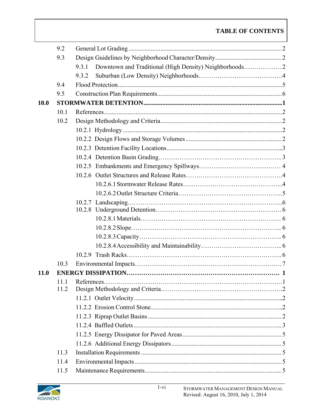|             | 9.2  |       |  |  |
|-------------|------|-------|--|--|
|             | 9.3  |       |  |  |
|             |      | 9.3.1 |  |  |
|             |      | 9.3.2 |  |  |
|             | 9.4  |       |  |  |
|             | 9.5  |       |  |  |
| <b>10.0</b> |      |       |  |  |
|             | 10.1 |       |  |  |
|             | 10.2 |       |  |  |
|             |      |       |  |  |
|             |      |       |  |  |
|             |      |       |  |  |
|             |      |       |  |  |
|             |      |       |  |  |
|             |      |       |  |  |
|             |      |       |  |  |
|             |      |       |  |  |
|             |      |       |  |  |
|             |      |       |  |  |
|             |      |       |  |  |
|             |      |       |  |  |
|             |      |       |  |  |
|             |      |       |  |  |
|             |      |       |  |  |
|             | 10.3 |       |  |  |
| <b>11.0</b> |      |       |  |  |
|             | 11.1 |       |  |  |
|             | 11.2 |       |  |  |
|             |      |       |  |  |
|             |      |       |  |  |
|             |      |       |  |  |
|             |      |       |  |  |
|             |      |       |  |  |
|             |      |       |  |  |
|             | 11.3 |       |  |  |
|             | 11.4 |       |  |  |
|             | 11.5 |       |  |  |

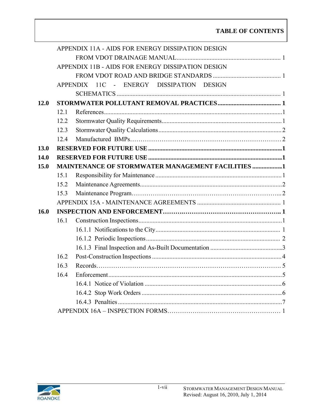|                                                   |      | APPENDIX 11A - AIDS FOR ENERGY DISSIPATION DESIGN        |  |  |  |  |
|---------------------------------------------------|------|----------------------------------------------------------|--|--|--|--|
|                                                   |      |                                                          |  |  |  |  |
| APPENDIX 11B - AIDS FOR ENERGY DISSIPATION DESIGN |      |                                                          |  |  |  |  |
|                                                   |      |                                                          |  |  |  |  |
|                                                   |      | APPENDIX 11C<br>- ENERGY DISSIPATION DESIGN              |  |  |  |  |
|                                                   |      |                                                          |  |  |  |  |
| 12.0                                              |      |                                                          |  |  |  |  |
|                                                   | 12.1 |                                                          |  |  |  |  |
|                                                   | 12.2 |                                                          |  |  |  |  |
|                                                   | 12.3 |                                                          |  |  |  |  |
|                                                   | 12.4 |                                                          |  |  |  |  |
| 13.0                                              |      |                                                          |  |  |  |  |
| 14.0                                              |      |                                                          |  |  |  |  |
| 15.0                                              |      | <b>MAINTENANCE OF STORMWATER MANAGEMENT FACILITIES 1</b> |  |  |  |  |
|                                                   | 15.1 |                                                          |  |  |  |  |
|                                                   | 15.2 |                                                          |  |  |  |  |
|                                                   | 15.3 |                                                          |  |  |  |  |
|                                                   |      |                                                          |  |  |  |  |
| 16.0                                              |      |                                                          |  |  |  |  |
|                                                   | 16.1 |                                                          |  |  |  |  |
|                                                   |      |                                                          |  |  |  |  |
|                                                   |      |                                                          |  |  |  |  |
|                                                   |      |                                                          |  |  |  |  |
|                                                   | 16.2 |                                                          |  |  |  |  |
|                                                   | 16.3 |                                                          |  |  |  |  |
|                                                   | 16.4 |                                                          |  |  |  |  |
|                                                   |      |                                                          |  |  |  |  |
|                                                   |      |                                                          |  |  |  |  |
|                                                   |      |                                                          |  |  |  |  |
|                                                   |      |                                                          |  |  |  |  |

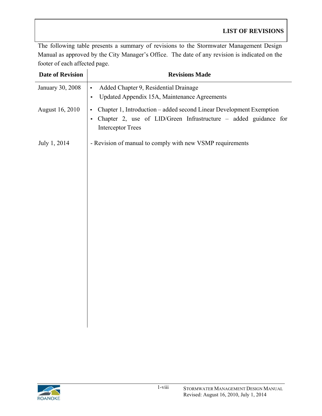The following table presents a summary of revisions to the Stormwater Management Design Manual as approved by the City Manager's Office. The date of any revision is indicated on the footer of each affected page.

| <b>Date of Revision</b> | <b>Revisions Made</b>                                                                                                                                                                        |
|-------------------------|----------------------------------------------------------------------------------------------------------------------------------------------------------------------------------------------|
| January 30, 2008        | Added Chapter 9, Residential Drainage<br>$\bullet$<br>Updated Appendix 15A, Maintenance Agreements<br>$\bullet$                                                                              |
| August 16, 2010         | Chapter 1, Introduction - added second Linear Development Exemption<br>$\bullet$<br>Chapter 2, use of LID/Green Infrastructure - added guidance for<br>$\bullet$<br><b>Interceptor Trees</b> |
| July 1, 2014            | - Revision of manual to comply with new VSMP requirements                                                                                                                                    |
|                         |                                                                                                                                                                                              |

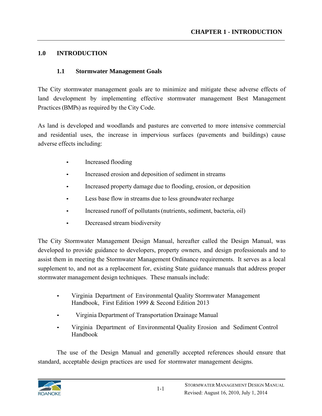#### **1.0 INTRODUCTION**

#### **1.1 Stormwater Management Goals**

The City stormwater management goals are to minimize and mitigate these adverse effects of land development by implementing effective stormwater management Best Management Practices (BMPs) as required by the City Code.

As land is developed and woodlands and pastures are converted to more intensive commercial and residential uses, the increase in impervious surfaces (pavements and buildings) cause adverse effects including:

- Increased flooding
- Increased erosion and deposition of sediment in streams
- Increased property damage due to flooding, erosion, or deposition
- Less base flow in streams due to less groundwater recharge
- Increased runoff of pollutants (nutrients, sediment, bacteria, oil)
- Decreased stream biodiversity

The City Stormwater Management Design Manual, hereafter called the Design Manual, was developed to provide guidance to developers, property owners, and design professionals and to assist them in meeting the Stormwater Management Ordinance requirements. It serves as a local supplement to, and not as a replacement for, existing State guidance manuals that address proper stormwater management design techniques. These manuals include:

- Virginia Department of Environmental Quality Stormwater Management Handbook, First Edition 1999 & Second Edition 2013
- Virginia Department of Transportation Drainage Manual
- Virginia Department of Environmental Quality Erosion and Sediment Control Handbook

The use of the Design Manual and generally accepted references should ensure that standard, acceptable design practices are used for stormwater management designs.

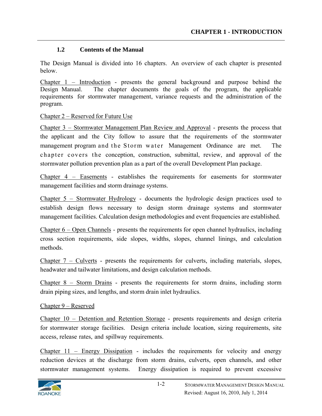#### **1.2 Contents of the Manual**

The Design Manual is divided into 16 chapters. An overview of each chapter is presented below.

Chapter 1 – Introduction - presents the general background and purpose behind the Design Manual. The chapter documents the goals of the program, the applicable requirements for stormwater management, variance requests and the administration of the program.

#### Chapter 2 – Reserved for Future Use

Chapter 3 – Stormwater Management Plan Review and Approval - presents the process that the applicant and the City follow to assure that the requirements of the stormwater management program and the Storm water Management Ordinance are met. The chapter covers the conception, construction, submittal, review, and approval of the stormwater pollution prevention plan as a part of the overall Development Plan package.

Chapter 4 – Easements - establishes the requirements for easements for stormwater management facilities and storm drainage systems.

Chapter 5 – Stormwater Hydrology - documents the hydrologic design practices used to establish design flows necessary to design storm drainage systems and stormwater management facilities. Calculation design methodologies and event frequencies are established.

Chapter 6 – Open Channels - presents the requirements for open channel hydraulics, including cross section requirements, side slopes, widths, slopes, channel linings, and calculation methods.

Chapter 7 – Culverts - presents the requirements for culverts, including materials, slopes, headwater and tailwater limitations, and design calculation methods.

Chapter 8 – Storm Drains - presents the requirements for storm drains, including storm drain piping sizes, and lengths, and storm drain inlet hydraulics.

#### Chapter 9 – Reserved

Chapter 10 – Detention and Retention Storage - presents requirements and design criteria for stormwater storage facilities. Design criteria include location, sizing requirements, site access, release rates, and spillway requirements.

Chapter 11 – Energy Dissipation - includes the requirements for velocity and energy reduction devices at the discharge from storm drains, culverts, open channels, and other stormwater management systems. Energy dissipation is required to prevent excessive

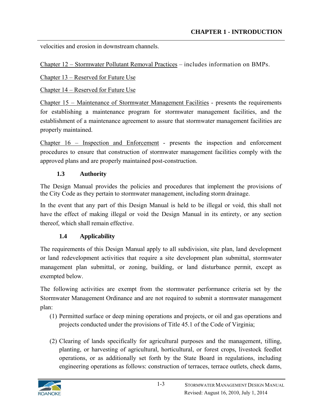velocities and erosion in downstream channels.

Chapter 12 – Stormwater Pollutant Removal Practices – includes information on BMPs.

Chapter 13 – Reserved for Future Use

Chapter 14 – Reserved for Future Use

Chapter 15 – Maintenance of Stormwater Management Facilities - presents the requirements for establishing a maintenance program for stormwater management facilities, and the establishment of a maintenance agreement to assure that stormwater management facilities are properly maintained.

Chapter 16 – Inspection and Enforcement - presents the inspection and enforcement procedures to ensure that construction of stormwater management facilities comply with the approved plans and are properly maintained post-construction.

#### **1.3 Authority**

The Design Manual provides the policies and procedures that implement the provisions of the City Code as they pertain to stormwater management, including storm drainage.

In the event that any part of this Design Manual is held to be illegal or void, this shall not have the effect of making illegal or void the Design Manual in its entirety, or any section thereof, which shall remain effective.

# **1.4 Applicability**

The requirements of this Design Manual apply to all subdivision, site plan, land development or land redevelopment activities that require a site development plan submittal, stormwater management plan submittal, or zoning, building, or land disturbance permit, except as exempted below.

The following activities are exempt from the stormwater performance criteria set by the Stormwater Management Ordinance and are not required to submit a stormwater management plan:

- (1) Permitted surface or deep mining operations and projects, or oil and gas operations and projects conducted under the provisions of Title 45.1 of the Code of Virginia;
- (2) Clearing of lands specifically for agricultural purposes and the management, tilling, planting, or harvesting of agricultural, horticultural, or forest crops, livestock feedlot operations, or as additionally set forth by the State Board in regulations, including engineering operations as follows: construction of terraces, terrace outlets, check dams,

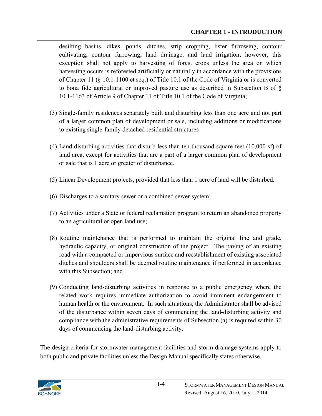desilting basins, dikes, ponds, ditches, strip cropping, lister furrowing, contour cultivating, contour furrowing, land drainage, and land irrigation; however, this exception shall not apply to harvesting of forest crops unless the area on which harvesting occurs is reforested artificially or naturally in accordance with the provisions of Chapter 11 (§ 10.1-1100 et seq.) of Title 10.1 of the Code of Virginia or is converted to bona fide agricultural or improved pasture use as described in Subsection B of § 10.1-1163 of Article 9 of Chapter 11 of Title 10.1 of the Code of Virginia;

- (3) Single-family residences separately built and disturbing less than one acre and not part of a larger common plan of development or sale, including additions or modifications to existing single-family detached residential structures
- (4) Land disturbing activities that disturb less than ten thousand square feet (10,000 sf) of land area, except for activities that are a part of a larger common plan of development or sale that is 1 acre or greater of disturbance.
- (5) Linear Development projects, provided that less than 1 acre of land will be disturbed.
- (6) Discharges to a sanitary sewer or a combined sewer system;
- (7) Activities under a State or federal reclamation program to return an abandoned property to an agricultural or open land use;
- (8) Routine maintenance that is performed to maintain the original line and grade, hydraulic capacity, or original construction of the project. The paving of an existing road with a compacted or impervious surface and reestablishment of existing associated ditches and shoulders shall be deemed routine maintenance if performed in accordance with this Subsection; and
- (9) Conducting land-disturbing activities in response to a public emergency where the related work requires immediate authorization to avoid imminent endangerment to human health or the environment. In such situations, the Administrator shall be advised of the disturbance within seven days of commencing the land-disturbing activity and compliance with the administrative requirements of Subsection (a) is required within 30 days of commencing the land-disturbing activity.

The design criteria for stormwater management facilities and storm drainage systems apply to both public and private facilities unless the Design Manual specifically states otherwise.

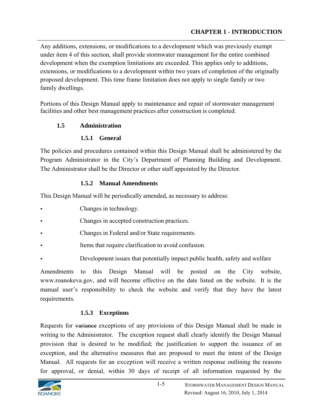Any additions, extensions, or modifications to a development which was previously exempt under item 4 of this section, shall provide stormwater management for the entire combined development when the exemption limitations are exceeded. This applies only to additions, extensions, or modifications to a development within two years of completion of the originally proposed development. This time frame limitation does not apply to single family or two family dwellings.

Portions of this Design Manual apply to maintenance and repair of stormwater management facilities and other best management practices after construction is completed.

#### **1.5 Administration**

#### **1.5.1 General**

The policies and procedures contained within this Design Manual shall be administered by the Program Administrator in the City's Department of Planning Building and Development. The Administrator shall be the Director or other staff appointed by the Director.

#### **1.5.2 Manual Amendments**

This Design Manual will be periodically amended, as necessary to address:

- Changes in technology.
- Changes in accepted construction practices.
- Changes in Federal and/or State requirements.
- Items that require clarification to avoid confusion.
- Development issues that potentially impact public health, safety and welfare

Amendments to this Design Manual will be posted on the City website, www.roanokeva.gov, and will become effective on the date listed on the website. It is the manual user's responsibility to check the website and verify that they have the latest requirements.

# **1.5.3 Exceptions**

Requests for variance exceptions of any provisions of this Design Manual shall be made in writing to the Administrator. The exception request shall clearly identify the Design Manual provision that is desired to be modified; the justification to support the issuance of an exception, and the alternative measures that are proposed to meet the intent of the Design Manual. All requests for an exception will receive a written response outlining the reasons for approval, or denial, within 30 days of receipt of all information requested by the

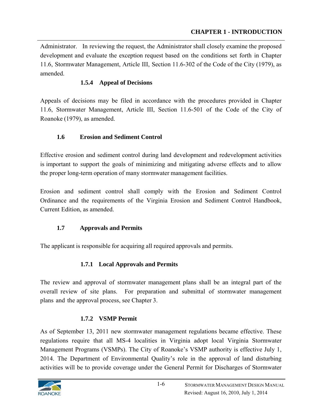Administrator. In reviewing the request, the Administrator shall closely examine the proposed development and evaluate the exception request based on the conditions set forth in Chapter 11.6, Stormwater Management, Article III, Section 11.6-302 of the Code of the City (1979), as amended.

# **1.5.4 Appeal of Decisions**

Appeals of decisions may be filed in accordance with the procedures provided in Chapter 11.6, Stormwater Management, Article III, Section 11.6-501 of the Code of the City of Roanoke (1979), as amended.

# **1.6 Erosion and Sediment Control**

Effective erosion and sediment control during land development and redevelopment activities is important to support the goals of minimizing and mitigating adverse effects and to allow the proper long-term operation of many stormwater management facilities.

Erosion and sediment control shall comply with the Erosion and Sediment Control Ordinance and the requirements of the Virginia Erosion and Sediment Control Handbook, Current Edition, as amended.

# **1.7 Approvals and Permits**

The applicant is responsible for acquiring all required approvals and permits.

# **1.7.1 Local Approvals and Permits**

The review and approval of stormwater management plans shall be an integral part of the overall review of site plans. For preparation and submittal of stormwater management plans and the approval process, see Chapter 3.

# **1.7.2 VSMP Permit**

As of September 13, 2011 new stormwater management regulations became effective. These regulations require that all MS-4 localities in Virginia adopt local Virginia Stormwater Management Programs (VSMPs). The City of Roanoke's VSMP authority is effective July 1, 2014. The Department of Environmental Quality's role in the approval of land disturbing activities will be to provide coverage under the General Permit for Discharges of Stormwater

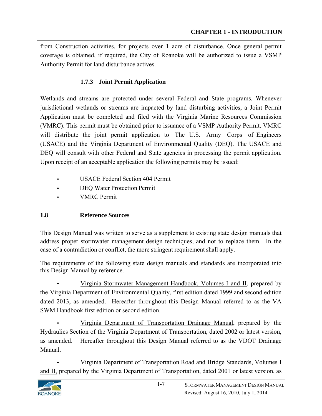from Construction activities, for projects over 1 acre of disturbance. Once general permit coverage is obtained, if required, the City of Roanoke will be authorized to issue a VSMP Authority Permit for land disturbance actives.

#### **1.7.3 Joint Permit Application**

Wetlands and streams are protected under several Federal and State programs. Whenever jurisdictional wetlands or streams are impacted by land disturbing activities, a Joint Permit Application must be completed and filed with the Virginia Marine Resources Commission (VMRC). This permit must be obtained prior to issuance of a VSMP Authority Permit. VMRC will distribute the joint permit application to The U.S. Army Corps of Engineers (USACE) and the Virginia Department of Environmental Quality (DEQ). The USACE and DEQ will consult with other Federal and State agencies in processing the permit application. Upon receipt of an acceptable application the following permits may be issued:

- USACE Federal Section 404 Permit
- DEQ Water Protection Permit
- VMRC Permit

#### **1.8 Reference Sources**

This Design Manual was written to serve as a supplement to existing state design manuals that address proper stormwater management design techniques, and not to replace them. In the case of a contradiction or conflict, the more stringent requirement shall apply.

The requirements of the following state design manuals and standards are incorporated into this Design Manual by reference.

• Virginia Stormwater Management Handbook, Volumes I and II, prepared by the Virginia Department of Environmental Qualtiy, first edition dated 1999 and second edition dated 2013, as amended. Hereafter throughout this Design Manual referred to as the VA SWM Handbook first edition or second edition.

• Virginia Department of Transportation Drainage Manual, prepared by the Hydraulics Section of the Virginia Department of Transportation, dated 2002 or latest version, as amended. Hereafter throughout this Design Manual referred to as the VDOT Drainage Manual.

• Virginia Department of Transportation Road and Bridge Standards, Volumes I and II, prepared by the Virginia Department of Transportation, dated 2001 or latest version, as

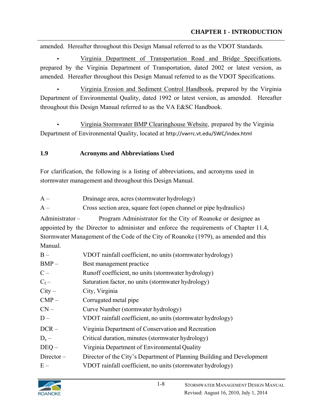amended. Hereafter throughout this Design Manual referred to as the VDOT Standards.

• Virginia Department of Transportation Road and Bridge Specifications, prepared by the Virginia Department of Transportation, dated 2002 or latest version, as amended. Hereafter throughout this Design Manual referred to as the VDOT Specifications.

• Virginia Erosion and Sediment Control Handbook, prepared by the Virginia Department of Environmental Quality, dated 1992 or latest version, as amended. Hereafter throughout this Design Manual referred to as the VA E&SC Handbook.

• Virginia Stormwater BMP Clearinghouse Website, prepared by the Virginia Department of Environmental Quality, located at http://vwrrc.vt.edu/SWC/index.html

# **1.9 Acronyms and Abbreviations Used**

For clarification, the following is a listing of abbreviations, and acronyms used in stormwater management and throughout this Design Manual.

A – Drainage area, acres (stormwater hydrology)

A – Cross section area, square feet (open channel or pipe hydraulics)

Administrator – Program Administrator for the City of Roanoke or designee as appointed by the Director to administer and enforce the requirements of Chapter 11.4, Stormwater Management of the Code of the City of Roanoke (1979), as amended and this Manual.

| $B -$        | VDOT rainfall coefficient, no units (stormwater hydrology)             |
|--------------|------------------------------------------------------------------------|
| $BMP -$      | Best management practice                                               |
| $C -$        | Runoff coefficient, no units (stormwater hydrology)                    |
| $C_f-$       | Saturation factor, no units (stormwater hydrology)                     |
| $City -$     | City, Virginia                                                         |
| $CMP -$      | Corrugated metal pipe                                                  |
| $CN -$       | Curve Number (stormwater hydrology)                                    |
| $D -$        | VDOT rainfall coefficient, no units (stormwater hydrology)             |
| $DCR -$      | Virginia Department of Conservation and Recreation                     |
| $D_e -$      | Critical duration, minutes (stormwater hydrology)                      |
| $DEQ -$      | Virginia Department of Environmental Quality                           |
| $Director -$ | Director of the City's Department of Planning Building and Development |
| $E -$        | VDOT rainfall coefficient, no units (stormwater hydrology)             |

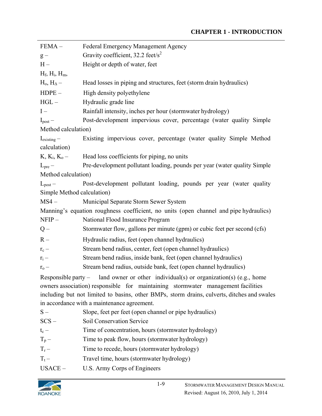#### **CHAPTER 1 - INTRODUCTION**

| <b>Federal Emergency Management Agency</b>                                                  |  |  |
|---------------------------------------------------------------------------------------------|--|--|
| Gravity coefficient, 32.2 feet/s <sup>2</sup>                                               |  |  |
| Height or depth of water, feet                                                              |  |  |
|                                                                                             |  |  |
| Head losses in piping and structures, feet (storm drain hydraulics)                         |  |  |
| High density polyethylene                                                                   |  |  |
| Hydraulic grade line                                                                        |  |  |
| Rainfall intensity, inches per hour (stormwater hydrology)                                  |  |  |
| Post-development impervious cover, percentage (water quality Simple                         |  |  |
| Method calculation)                                                                         |  |  |
| Existing impervious cover, percentage (water quality Simple Method                          |  |  |
|                                                                                             |  |  |
| Head loss coefficients for piping, no units                                                 |  |  |
| Pre-development pollutant loading, pounds per year (water quality Simple                    |  |  |
| Method calculation)                                                                         |  |  |
| Post-development pollutant loading, pounds per year (water quality                          |  |  |
| Simple Method calculation)                                                                  |  |  |
| Municipal Separate Storm Sewer System                                                       |  |  |
| Manning's equation roughness coefficient, no units (open channel and pipe hydraulics)       |  |  |
| National Flood Insurance Program                                                            |  |  |
| Stormwater flow, gallons per minute (gpm) or cubic feet per second (cfs)                    |  |  |
| Hydraulic radius, feet (open channel hydraulics)                                            |  |  |
| Stream bend radius, center, feet (open channel hydraulics)                                  |  |  |
| Stream bend radius, inside bank, feet (open channel hydraulics)                             |  |  |
| Stream bend radius, outside bank, feet (open channel hydraulics)                            |  |  |
| Responsible party – land owner or other individual(s) or organization(s) (e.g., home        |  |  |
| owners association) responsible for maintaining stormwater management facilities            |  |  |
| including but not limited to basins, other BMPs, storm drains, culverts, ditches and swales |  |  |
| in accordance with a maintenance agreement.                                                 |  |  |
| Slope, feet per feet (open channel or pipe hydraulics)                                      |  |  |
| Soil Conservation Service                                                                   |  |  |
| Time of concentration, hours (stormwater hydrology)                                         |  |  |
| Time to peak flow, hours (stormwater hydrology)                                             |  |  |
| Time to recede, hours (stormwater hydrology)                                                |  |  |
| Travel time, hours (stormwater hydrology)                                                   |  |  |
| U.S. Army Corps of Engineers                                                                |  |  |
|                                                                                             |  |  |